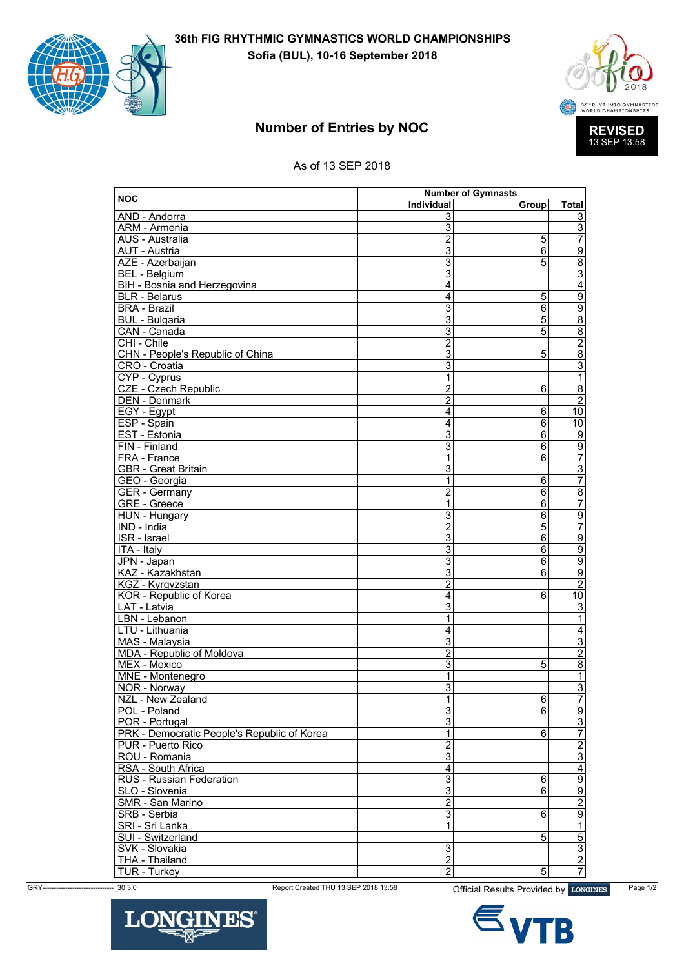



## **Number of Entries by NOC**

## As of 13 SEP 2018

|                                                    | <b>Number of Gymnasts</b>        |                |                                  |
|----------------------------------------------------|----------------------------------|----------------|----------------------------------|
| <b>NOC</b>                                         | Individual                       | Group          | Total                            |
| AND - Andorra                                      | 3                                |                | 3                                |
| <b>ARM</b> - Armenia                               | $\overline{3}$                   |                | $\overline{3}$                   |
| AUS - Australia                                    | $\overline{2}$                   | 5              | $\overline{7}$                   |
| AUT - Austria                                      | 3                                | 6              | $\overline{9}$                   |
| AZE - Azerbaijan                                   | $\overline{3}$                   | $\overline{5}$ | $\frac{8}{3}$                    |
| <b>BEL</b> - Belgium                               | $\overline{3}$                   |                |                                  |
| BIH - Bosnia and Herzegovina                       | $\overline{4}$                   |                | $\overline{4}$                   |
| <b>BLR</b> - Belarus                               | $\overline{4}$                   | 5              | $\overline{9}$                   |
| <b>BRA - Brazil</b>                                | $\overline{3}$                   | $\overline{6}$ | $\overline{9}$                   |
| <b>BUL</b> - Bulgaria                              | 3                                | 5              | $\overline{8}$                   |
| CAN - Canada                                       | $\overline{3}$                   | $\overline{5}$ |                                  |
| CHI - Chile                                        | $\overline{2}$                   |                | $\frac{8}{2}$                    |
| CHN - People's Republic of China                   | 3                                | 5              |                                  |
| CRO - Croatia                                      | $\overline{\overline{3}}$        |                | $\frac{3}{1}$                    |
| CYP - Cyprus                                       | 1                                |                |                                  |
| CZE - Czech Republic                               | $\overline{c}$                   | 6              | $\overline{8}$                   |
| <b>DEN</b> - Denmark                               | $\overline{2}$                   |                | $\overline{2}$                   |
| EGY - Egypt                                        | $\overline{4}$                   | $\overline{6}$ | $\overline{10}$                  |
| ESP - Spain                                        | $\overline{4}$                   | 6              | 10                               |
| EST - Estonia                                      | $\overline{3}$                   | 6              | $\overline{9}$                   |
| FIN - Finland                                      | $\overline{3}$                   | $\overline{6}$ | $\overline{9}$                   |
| FRA - France                                       | 1                                | 6              | $\overline{7}$                   |
| <b>GBR</b> - Great Britain                         | 3                                |                | $rac{3}{7}$                      |
| GEO - Georgia                                      | 1                                | $\overline{6}$ |                                  |
| <b>GER</b> - Germany                               | $\overline{c}$                   | 6              | $\overline{8}$                   |
| <b>GRE</b> - Greece                                | 1                                | $\overline{6}$ | $\overline{7}$                   |
| <b>HUN - Hungary</b>                               | $\overline{3}$                   | $\overline{6}$ | $\overline{9}$                   |
| IND - India                                        | $\overline{c}$                   | 5              | $\overline{7}$                   |
| ISR - Israel                                       | $\overline{3}$                   | $\overline{6}$ | $\overline{9}$                   |
| ITA - Italy                                        | $\overline{3}$                   | $\overline{6}$ | $\overline{9}$                   |
| JPN - Japan                                        | $\overline{3}$                   | 6              | $\overline{9}$                   |
| KAZ - Kazakhstan                                   | $\overline{3}$<br>$\overline{2}$ | $\overline{6}$ | $\overline{9}$                   |
| KGZ - Kyrgyzstan                                   |                                  |                | $\overline{2}$                   |
| KOR - Republic of Korea                            | 4                                | 6              | $\overline{10}$                  |
| LAT - Latvia                                       | $\overline{3}$<br>1              |                | $\overline{3}$<br>$\overline{1}$ |
| LBN - Lebanon                                      | $\overline{4}$                   |                |                                  |
| LTU - Lithuania                                    | $\overline{3}$                   |                | $\overline{4}$                   |
| MAS - Malaysia<br><b>MDA - Republic of Moldova</b> | $\overline{2}$                   |                | $\frac{3}{2}$                    |
| MEX - Mexico                                       | $\overline{3}$                   | 5              |                                  |
| MNE - Montenegro                                   |                                  |                | $\overline{8}$                   |
| NOR - Norway                                       | 1<br>$\overline{3}$              |                | 1<br>$\overline{3}$              |
|                                                    | $\overline{1}$                   | $6\overline{}$ | 7                                |
| NZL - New Zealand<br>POL - Poland                  | 3                                | $\overline{6}$ | $\overline{9}$                   |
| POR - Portugal                                     | $\overline{3}$                   |                | $\overline{3}$                   |
| PRK - Democratic People's Republic of Korea        | $\mathbf{1}$                     | $6 \,$         | $\overline{7}$                   |
| PUR - Puerto Rico                                  | $\overline{2}$                   |                |                                  |
| ROU - Romania                                      | $\overline{3}$                   |                | $rac{2}{3}$                      |
| RSA - South Africa                                 | 4                                |                | $\overline{4}$                   |
| RUS - Russian Federation                           | 3                                | 6              |                                  |
| SLO - Slovenia                                     | $\overline{3}$                   | 6              | $\frac{9}{2}$                    |
| SMR - San Marino                                   | $\overline{2}$                   |                |                                  |
| SRB - Serbia                                       | 3                                | 6              |                                  |
| SRI - Sri Lanka                                    | 1                                |                | $\frac{9}{1}$                    |
| SUI - Switzerland                                  |                                  | $\overline{5}$ |                                  |
| SVK - Slovakia                                     |                                  |                | $\frac{5}{3}$                    |
| <b>THA - Thailand</b>                              | 3<br>$\overline{2}$              |                |                                  |
|                                                    | $\overline{2}$                   | $\overline{5}$ | 7                                |
| <b>TUR - Turkey</b>                                |                                  |                |                                  |